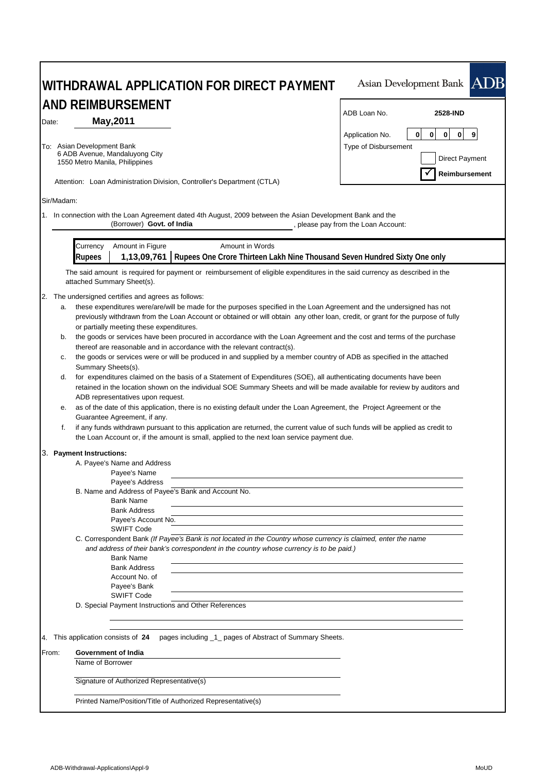| AND REIMBURSEMENT                                                                                                                       | ADB Loan No.<br>2528-IND                                                                                                        |
|-----------------------------------------------------------------------------------------------------------------------------------------|---------------------------------------------------------------------------------------------------------------------------------|
| May, 2011<br>Date:                                                                                                                      |                                                                                                                                 |
|                                                                                                                                         | 0<br>0<br>$\mathbf{0}$<br>9<br>Application No.<br>$\mathbf{0}$                                                                  |
| To: Asian Development Bank<br>6 ADB Avenue, Mandaluyong City                                                                            | Type of Disbursement                                                                                                            |
| 1550 Metro Manila, Philippines                                                                                                          | Direct Payment                                                                                                                  |
| Attention: Loan Administration Division, Controller's Department (CTLA)                                                                 | Reimbursement                                                                                                                   |
| Sir/Madam:                                                                                                                              |                                                                                                                                 |
|                                                                                                                                         |                                                                                                                                 |
| 1. In connection with the Loan Agreement dated 4th August, 2009 between the Asian Development Bank and the<br>(Borrower) Govt. of India | , please pay from the Loan Account:                                                                                             |
| Amount in Figure<br>Currency                                                                                                            | Amount in Words                                                                                                                 |
| <b>Rupees</b>                                                                                                                           | 1,13,09,761   Rupees One Crore Thirteen Lakh Nine Thousand Seven Hundred Sixty One only                                         |
|                                                                                                                                         | The said amount is required for payment or reimbursement of eligible expenditures in the said currency as described in the      |
| attached Summary Sheet(s).                                                                                                              |                                                                                                                                 |
| The undersigned certifies and agrees as follows:<br>2.                                                                                  |                                                                                                                                 |
| a.                                                                                                                                      | these expenditures were/are/will be made for the purposes specified in the Loan Agreement and the undersigned has not           |
|                                                                                                                                         | previously withdrawn from the Loan Account or obtained or will obtain any other loan, credit, or grant for the purpose of fully |
| or partially meeting these expenditures.                                                                                                |                                                                                                                                 |
| b.                                                                                                                                      | the goods or services have been procured in accordance with the Loan Agreement and the cost and terms of the purchase           |
| thereof are reasonable and in accordance with the relevant contract(s).                                                                 |                                                                                                                                 |
| с.                                                                                                                                      | the goods or services were or will be produced in and supplied by a member country of ADB as specified in the attached          |
| Summary Sheets(s).                                                                                                                      |                                                                                                                                 |
| d.                                                                                                                                      | for expenditures claimed on the basis of a Statement of Expenditures (SOE), all authenticating documents have been              |
|                                                                                                                                         | retained in the location shown on the individual SOE Summary Sheets and will be made available for review by auditors and       |
| ADB representatives upon request.<br>е.                                                                                                 | as of the date of this application, there is no existing default under the Loan Agreement, the Project Agreement or the         |
| Guarantee Agreement, if any.                                                                                                            |                                                                                                                                 |
| f.                                                                                                                                      | if any funds withdrawn pursuant to this application are returned, the current value of such funds will be applied as credit to  |
| the Loan Account or, if the amount is small, applied to the next loan service payment due.                                              |                                                                                                                                 |
| 3. Payment Instructions:                                                                                                                |                                                                                                                                 |
| A. Payee's Name and Address                                                                                                             |                                                                                                                                 |
| Payee's Name                                                                                                                            |                                                                                                                                 |
| Payee's Address                                                                                                                         |                                                                                                                                 |
| B. Name and Address of Payee's Bank and Account No.                                                                                     |                                                                                                                                 |
| <b>Bank Name</b>                                                                                                                        |                                                                                                                                 |
| <b>Bank Address</b>                                                                                                                     |                                                                                                                                 |
| Payee's Account No.<br><b>SWIFT Code</b>                                                                                                |                                                                                                                                 |
|                                                                                                                                         | C. Correspondent Bank (If Payee's Bank is not located in the Country whose currency is claimed, enter the name                  |
| and address of their bank's correspondent in the country whose currency is to be paid.)                                                 |                                                                                                                                 |
| <b>Bank Name</b>                                                                                                                        |                                                                                                                                 |
| <b>Bank Address</b>                                                                                                                     |                                                                                                                                 |
| Account No. of                                                                                                                          |                                                                                                                                 |
| Payee's Bank                                                                                                                            |                                                                                                                                 |
| <b>SWIFT Code</b>                                                                                                                       |                                                                                                                                 |
| D. Special Payment Instructions and Other References                                                                                    |                                                                                                                                 |
|                                                                                                                                         | pages including _1_ pages of Abstract of Summary Sheets.                                                                        |
|                                                                                                                                         |                                                                                                                                 |
|                                                                                                                                         |                                                                                                                                 |
| 4. This application consists of 24<br>Government of India<br>From:<br>Name of Borrower                                                  |                                                                                                                                 |
| Signature of Authorized Representative(s)                                                                                               |                                                                                                                                 |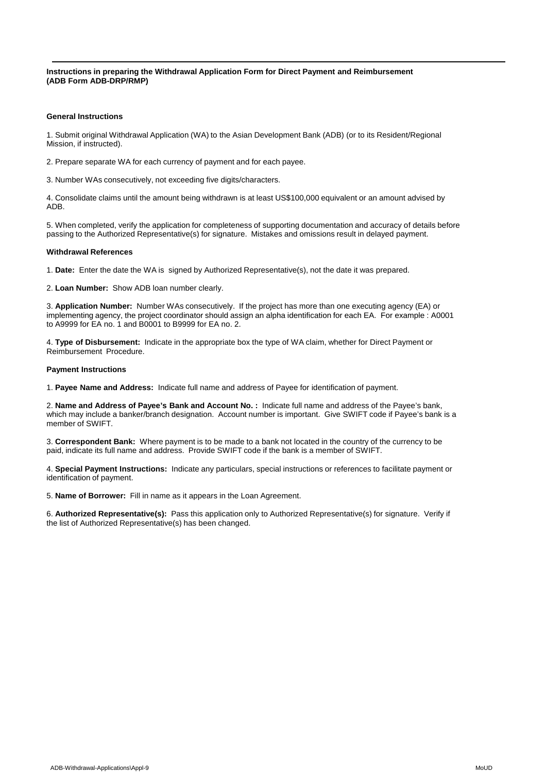**Instructions in preparing the Withdrawal Application Form for Direct Payment and Reimbursement (ADB Form ADB-DRP/RMP)**

### **General Instructions**

1. Submit original Withdrawal Application (WA) to the Asian Development Bank (ADB) (or to its Resident/Regional Mission, if instructed).

2. Prepare separate WA for each currency of payment and for each payee.

3. Number WAs consecutively, not exceeding five digits/characters.

4. Consolidate claims until the amount being withdrawn is at least US\$100,000 equivalent or an amount advised by ADB.

5. When completed, verify the application for completeness of supporting documentation and accuracy of details before passing to the Authorized Representative(s) for signature. Mistakes and omissions result in delayed payment.

#### **Withdrawal References**

1. **Date:** Enter the date the WA is signed by Authorized Representative(s), not the date it was prepared.

2. **Loan Number:** Show ADB loan number clearly.

3. **Application Number:** Number WAs consecutively. If the project has more than one executing agency (EA) or implementing agency, the project coordinator should assign an alpha identification for each EA. For example : A0001 to A9999 for EA no. 1 and B0001 to B9999 for EA no. 2.

4. **Type of Disbursement:** Indicate in the appropriate box the type of WA claim, whether for Direct Payment or Reimbursement Procedure.

#### **Payment Instructions**

1. **Payee Name and Address:** Indicate full name and address of Payee for identification of payment.

2. **Name and Address of Payee's Bank and Account No. :** Indicate full name and address of the Payee's bank, which may include a banker/branch designation. Account number is important. Give SWIFT code if Payee's bank is a member of SWIFT.

3. **Correspondent Bank:** Where payment is to be made to a bank not located in the country of the currency to be paid, indicate its full name and address. Provide SWIFT code if the bank is a member of SWIFT.

4. **Special Payment Instructions:** Indicate any particulars, special instructions or references to facilitate payment or identification of payment.

5. **Name of Borrower:** Fill in name as it appears in the Loan Agreement.

6. **Authorized Representative(s):** Pass this application only to Authorized Representative(s) for signature. Verify if the list of Authorized Representative(s) has been changed.